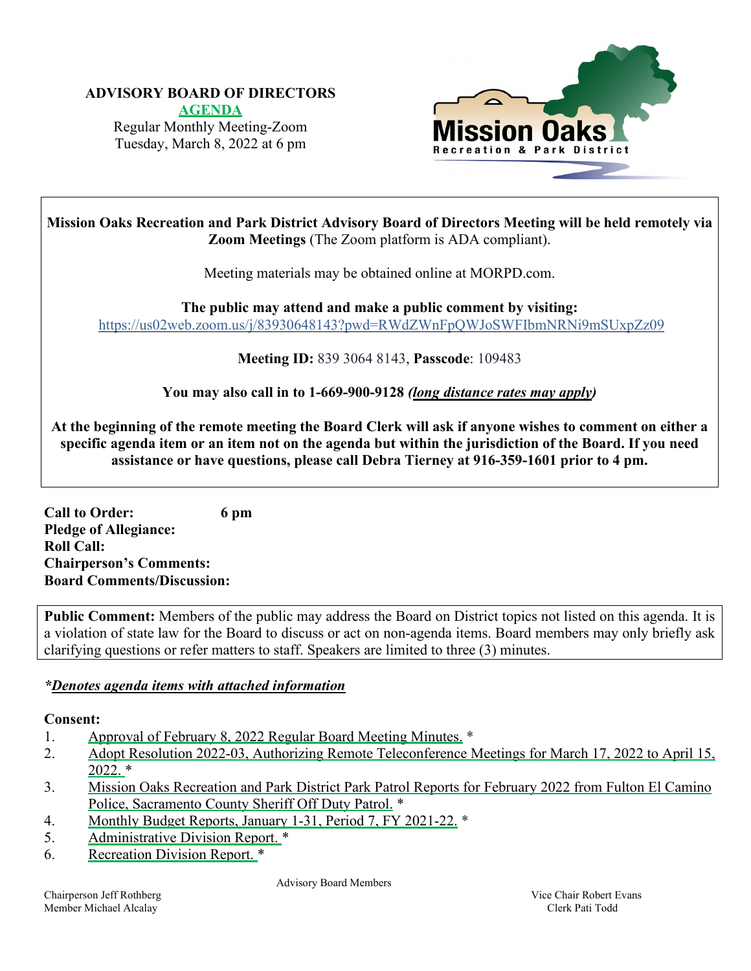# **ADVISORY BOARD OF DIRECTORS**

**[AGENDA](https://www.morpd.com/files/722f2c0f6/00.0-FULL+0-AGENDA+March+8%2C+2022+ABM+%282%29.pdf)** Regular Monthly Meeting-Zoom Tuesday, March 8, 2022 at 6 pm



**Mission Oaks Recreation and Park District Advisory Board of Directors Meeting will be held remotely via Zoom Meetings** (The Zoom platform is ADA compliant).

Meeting materials may be obtained online at MORPD.com.

**The public may attend and make a public comment by visiting:** <https://us02web.zoom.us/j/83930648143?pwd=RWdZWnFpQWJoSWFIbmNRNi9mSUxpZz09>

**Meeting ID:** 839 3064 8143, **Passcode**: 109483

**You may also call in to 1-669-900-9128** *(long distance rates may apply)*

At the beginning of the remote meeting the Board Clerk will ask if anyone wishes to comment on either a specific agenda item or an item not on the agenda but within the jurisdiction of the Board. If you need **assistance or have questions, please call Debra Tierney at 916-359-1601 prior to 4 pm.**

**Call to Order: 6 pm Pledge of Allegiance: Roll Call: Chairperson's Comments: Board Comments/Discussion:**

**Public Comment:** Members of the public may address the Board on District topics not listed on this agenda. It is a violation of state law for the Board to discuss or act on non-agenda items. Board members may only briefly ask clarifying questions or refer matters to staff. Speakers are limited to three (3) minutes.

# *\*Denotes agenda items with attached information*

# **Consent:**

- 1. Approval of February 8, 2022 [Regular Board Meeting Minutes.](https://www.morpd.com/files/d6c49e376/01.0-February+Meeting+Minutes.pdf) \*
- 2. Adopt Resolution 2022-03, Authorizing Remote [Teleconference](https://www.morpd.com/files/b62c94ba1/02.0-Staff+report+Resolution.pdf) Meetings for March 17, 2022 to April 15, [2022.](https://www.morpd.com/files/b62c94ba1/02.0-Staff+report+Resolution.pdf) \*
- 3. Mission Oaks [Recreation](https://www.morpd.com/files/3636728b8/3.0-Park+Patrol+Reports+for+February+2022.pdf) and Park District Park Patrol Reports for February 2022 from Fulton El Camino Police, [Sacramento](https://www.morpd.com/files/3636728b8/3.0-Park+Patrol+Reports+for+February+2022.pdf) County Sheriff Off Duty Patrol. \*
- 4. Monthly Budget Reports, January 1-31, Period 7, FY [2021-22.](https://www.morpd.com/files/d2ce1c8cc/04.0-Finance+Period+7+-+Budget+%26+Staff+Report.pdf) \*
- 5. [Administrative](https://www.morpd.com/files/0662c1ab3/05.0-Administrative+Division+report+March.pdf) Division Report. \*
- 6. [Recreation](https://www.morpd.com/files/f4ddd8bd2/06.0-Recreation+Division+Report+for+March+2022.pdf) Division Report. \*

Advisory Board Members